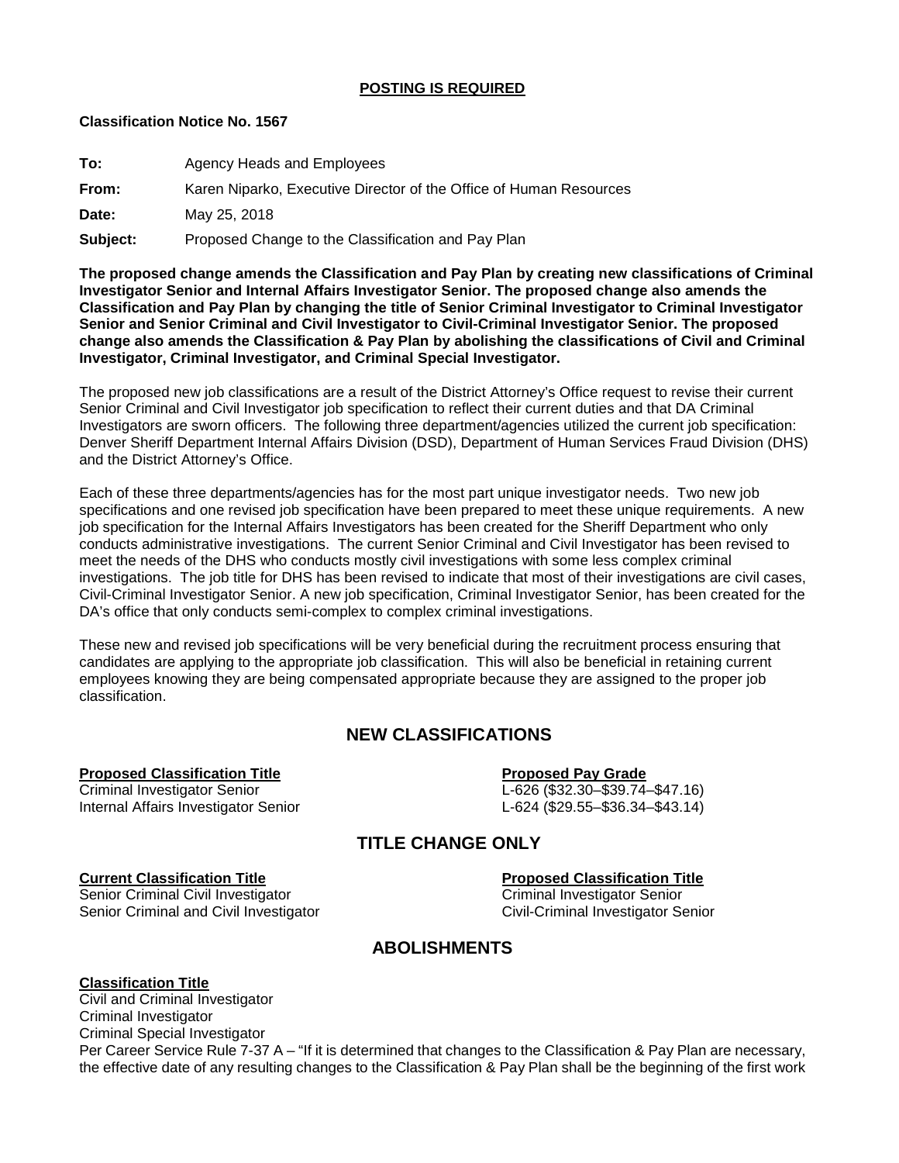## **POSTING IS REQUIRED**

## **Classification Notice No. 1567**

| To:      | Agency Heads and Employees                                         |
|----------|--------------------------------------------------------------------|
| From:    | Karen Niparko, Executive Director of the Office of Human Resources |
| Date:    | May 25, 2018                                                       |
| Subject: | Proposed Change to the Classification and Pay Plan                 |

**The proposed change amends the Classification and Pay Plan by creating new classifications of Criminal Investigator Senior and Internal Affairs Investigator Senior. The proposed change also amends the Classification and Pay Plan by changing the title of Senior Criminal Investigator to Criminal Investigator Senior and Senior Criminal and Civil Investigator to Civil-Criminal Investigator Senior. The proposed change also amends the Classification & Pay Plan by abolishing the classifications of Civil and Criminal Investigator, Criminal Investigator, and Criminal Special Investigator.**

The proposed new job classifications are a result of the District Attorney's Office request to revise their current Senior Criminal and Civil Investigator job specification to reflect their current duties and that DA Criminal Investigators are sworn officers. The following three department/agencies utilized the current job specification: Denver Sheriff Department Internal Affairs Division (DSD), Department of Human Services Fraud Division (DHS) and the District Attorney's Office.

Each of these three departments/agencies has for the most part unique investigator needs. Two new job specifications and one revised job specification have been prepared to meet these unique requirements. A new job specification for the Internal Affairs Investigators has been created for the Sheriff Department who only conducts administrative investigations. The current Senior Criminal and Civil Investigator has been revised to meet the needs of the DHS who conducts mostly civil investigations with some less complex criminal investigations. The job title for DHS has been revised to indicate that most of their investigations are civil cases, Civil-Criminal Investigator Senior. A new job specification, Criminal Investigator Senior, has been created for the DA's office that only conducts semi-complex to complex criminal investigations.

These new and revised job specifications will be very beneficial during the recruitment process ensuring that candidates are applying to the appropriate job classification. This will also be beneficial in retaining current employees knowing they are being compensated appropriate because they are assigned to the proper job classification.

# **NEW CLASSIFICATIONS**

**Proposed Classification Title**<br> **Criminal Investigator Senior**<br> **Proposed Pay Grade**<br>
L-626 (\$32.30–\$39.74-Internal Affairs Investigator Senior

L-626 (\$32.30–\$39.74–\$47.16)<br>L-624 (\$29.55–\$36.34–\$43.14)

# **TITLE CHANGE ONLY**

Senior Criminal Civil Investigator<br>
Senior Criminal and Civil Investigator<br>
Civil-Criminal Investigator Senior Senior Criminal and Civil Investigator

**Current Classification Title Proposed Classification Title**

# **ABOLISHMENTS**

**Classification Title** Civil and Criminal Investigator Criminal Investigator Criminal Special Investigator Per Career Service Rule 7-37 A – "If it is determined that changes to the Classification & Pay Plan are necessary, the effective date of any resulting changes to the Classification & Pay Plan shall be the beginning of the first work